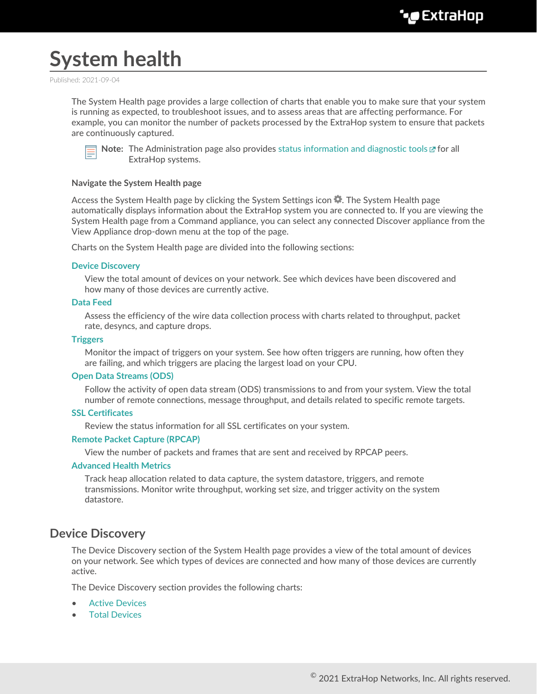# **System health**

Published: 2021-09-04

The System Health page provides a large collection of charts that enable you to make sure that your system is running as expected, to troubleshoot issues, and to assess areas that are affecting performance. For example, you can monitor the number of packets processed by the ExtraHop system to ensure that packets are continuously captured.



Note: The Administration page also provides [status information and diagnostic tools](https://docs.extrahop.com/8.2/eh-admin-ui-guide/#status-and-diagnostics)  $\mathbb Z$  for all ExtraHop systems.

#### **Navigate the System Health page**

Access the System Health page by clicking the System Settings icon . The System Health page automatically displays information about the ExtraHop system you are connected to. If you are viewing the System Health page from a Command appliance, you can select any connected Discover appliance from the View Appliance drop-down menu at the top of the page.

Charts on the System Health page are divided into the following sections:

#### **[Device Discovery](#page-0-0)**

View the total amount of devices on your network. See which devices have been discovered and how many of those devices are currently active.

#### **[Data Feed](#page-1-0)**

Assess the efficiency of the wire data collection process with charts related to throughput, packet rate, desyncs, and capture drops.

#### **[Triggers](#page-3-0)**

Monitor the impact of triggers on your system. See how often triggers are running, how often they are failing, and which triggers are placing the largest load on your CPU.

#### **[Open Data Streams \(ODS\)](#page-5-0)**

Follow the activity of open data stream (ODS) transmissions to and from your system. View the total number of remote connections, message throughput, and details related to specific remote targets.

#### **[SSL Certificates](#page-6-0)**

Review the status information for all SSL certificates on your system.

#### **[Remote Packet Capture \(RPCAP\)](#page-7-0)**

View the number of packets and frames that are sent and received by RPCAP peers.

#### **[Advanced Health Metrics](#page-8-0)**

Track heap allocation related to data capture, the system datastore, triggers, and remote transmissions. Monitor write throughput, working set size, and trigger activity on the system datastore.

# <span id="page-0-0"></span>**Device Discovery**

The Device Discovery section of the System Health page provides a view of the total amount of devices on your network. See which types of devices are connected and how many of those devices are currently active.

The Device Discovery section provides the following charts:

- **[Active Devices](#page-1-1)**
- **[Total Devices](#page-1-2)**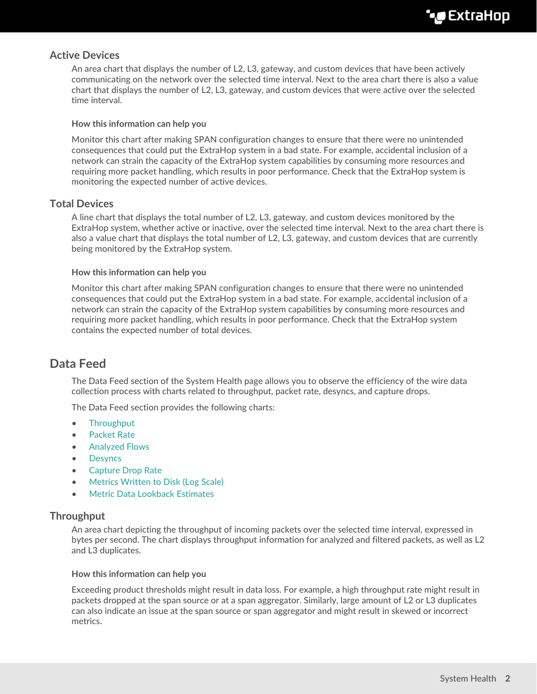# <span id="page-1-1"></span>**Active Devices**

An area chart that displays the number of L2, L3, gateway, and custom devices that have been actively communicating on the network over the selected time interval. Next to the area chart there is also a value chart that displays the number of L2, L3, gateway, and custom devices that were active over the selected time interval.

#### **How this information can help you**

Monitor this chart after making SPAN configuration changes to ensure that there were no unintended consequences that could put the ExtraHop system in a bad state. For example, accidental inclusion of a network can strain the capacity of the ExtraHop system capabilities by consuming more resources and requiring more packet handling, which results in poor performance. Check that the ExtraHop system is monitoring the expected number of active devices.

## <span id="page-1-2"></span>**Total Devices**

A line chart that displays the total number of L2, L3, gateway, and custom devices monitored by the ExtraHop system, whether active or inactive, over the selected time interval. Next to the area chart there is also a value chart that displays the total number of L2, L3, gateway, and custom devices that are currently being monitored by the ExtraHop system.

#### **How this information can help you**

Monitor this chart after making SPAN configuration changes to ensure that there were no unintended consequences that could put the ExtraHop system in a bad state. For example, accidental inclusion of a network can strain the capacity of the ExtraHop system capabilities by consuming more resources and requiring more packet handling, which results in poor performance. Check that the ExtraHop system contains the expected number of total devices.

# <span id="page-1-0"></span>**Data Feed**

The Data Feed section of the System Health page allows you to observe the efficiency of the wire data collection process with charts related to throughput, packet rate, desyncs, and capture drops.

The Data Feed section provides the following charts:

- **[Throughput](#page-1-3)**
- [Packet Rate](#page-2-0)
- [Analyzed Flows](#page-2-1)
- [Desyncs](#page-2-2)
- [Capture Drop Rate](#page-2-3)
- [Metrics Written to Disk \(Log Scale\)](#page-2-4)
- [Metric Data Lookback Estimates](#page-3-1)

### <span id="page-1-3"></span>**Throughput**

An area chart depicting the throughput of incoming packets over the selected time interval, expressed in bytes per second. The chart displays throughput information for analyzed and filtered packets, as well as L2 and L3 duplicates.

#### **How this information can help you**

Exceeding product thresholds might result in data loss. For example, a high throughput rate might result in packets dropped at the span source or at a span aggregator. Similarly, large amount of L2 or L3 duplicates can also indicate an issue at the span source or span aggregator and might result in skewed or incorrect metrics.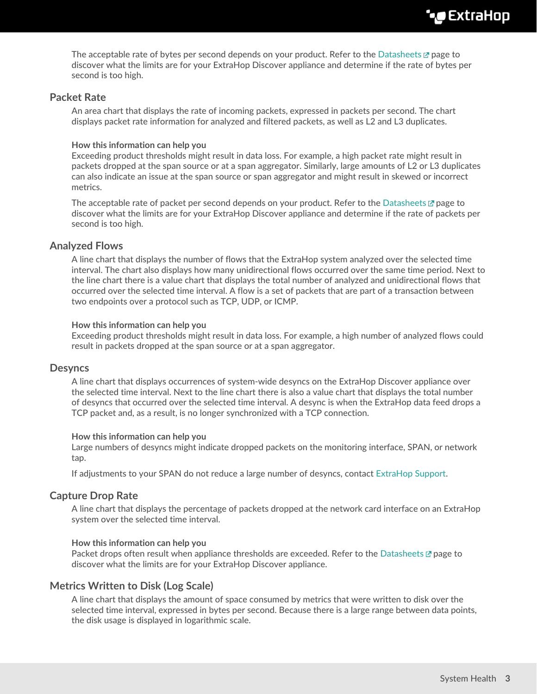The acceptable rate of bytes per second depends on your product. Refer to the [Datasheets](https://www.extrahop.com/go/datasheets/)  $\mathbb Z$  page to discover what the limits are for your ExtraHop Discover appliance and determine if the rate of bytes per second is too high.

### <span id="page-2-0"></span>**Packet Rate**

An area chart that displays the rate of incoming packets, expressed in packets per second. The chart displays packet rate information for analyzed and filtered packets, as well as L2 and L3 duplicates.

#### **How this information can help you**

Exceeding product thresholds might result in data loss. For example, a high packet rate might result in packets dropped at the span source or at a span aggregator. Similarly, large amounts of L2 or L3 duplicates can also indicate an issue at the span source or span aggregator and might result in skewed or incorrect metrics.

The acceptable rate of packet per second depends on your product. Refer to the [Datasheets](https://www.extrahop.com/go/datasheets/)  $\mathbb{F}$  page to discover what the limits are for your ExtraHop Discover appliance and determine if the rate of packets per second is too high.

#### <span id="page-2-1"></span>**Analyzed Flows**

A line chart that displays the number of flows that the ExtraHop system analyzed over the selected time interval. The chart also displays how many unidirectional flows occurred over the same time period. Next to the line chart there is a value chart that displays the total number of analyzed and unidirectional flows that occurred over the selected time interval. A flow is a set of packets that are part of a transaction between two endpoints over a protocol such as TCP, UDP, or ICMP.

#### **How this information can help you**

Exceeding product thresholds might result in data loss. For example, a high number of analyzed flows could result in packets dropped at the span source or at a span aggregator.

#### <span id="page-2-2"></span>**Desyncs**

A line chart that displays occurrences of system-wide desyncs on the ExtraHop Discover appliance over the selected time interval. Next to the line chart there is also a value chart that displays the total number of desyncs that occurred over the selected time interval. A desync is when the ExtraHop data feed drops a TCP packet and, as a result, is no longer synchronized with a TCP connection.

#### **How this information can help you**

Large numbers of desyncs might indicate dropped packets on the monitoring interface, SPAN, or network tap.

If adjustments to your SPAN do not reduce a large number of desyncs, contact [ExtraHop Support](mailto:support@extrahop.com).

# <span id="page-2-3"></span>**Capture Drop Rate**

A line chart that displays the percentage of packets dropped at the network card interface on an ExtraHop system over the selected time interval.

#### **How this information can help you**

Packet drops often result when appliance thresholds are exceeded. Refer to the [Datasheets](https://www.extrahop.com/go/datasheets/) E page to discover what the limits are for your ExtraHop Discover appliance.

### <span id="page-2-4"></span>**Metrics Written to Disk (Log Scale)**

A line chart that displays the amount of space consumed by metrics that were written to disk over the selected time interval, expressed in bytes per second. Because there is a large range between data points, the disk usage is displayed in logarithmic scale.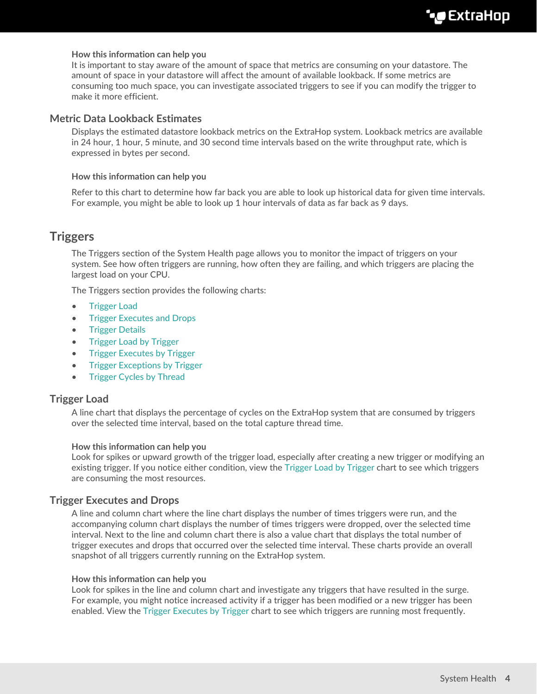#### **How this information can help you**

It is important to stay aware of the amount of space that metrics are consuming on your datastore. The amount of space in your datastore will affect the amount of available lookback. If some metrics are consuming too much space, you can investigate associated triggers to see if you can modify the trigger to make it more efficient.

## <span id="page-3-1"></span>**Metric Data Lookback Estimates**

Displays the estimated datastore lookback metrics on the ExtraHop system. Lookback metrics are available in 24 hour, 1 hour, 5 minute, and 30 second time intervals based on the write throughput rate, which is expressed in bytes per second.

#### **How this information can help you**

Refer to this chart to determine how far back you are able to look up historical data for given time intervals. For example, you might be able to look up 1 hour intervals of data as far back as 9 days.

# <span id="page-3-0"></span>**Triggers**

The Triggers section of the System Health page allows you to monitor the impact of triggers on your system. See how often triggers are running, how often they are failing, and which triggers are placing the largest load on your CPU.

The Triggers section provides the following charts:

- [Trigger Load](#page-3-2)
- [Trigger Executes and Drops](#page-3-3)
- [Trigger Details](#page-4-0)
- [Trigger Load by Trigger](#page-4-1)
- [Trigger Executes by Trigger](#page-4-2)
- **[Trigger Exceptions by Trigger](#page-4-3)**
- **[Trigger Cycles by Thread](#page-4-4)**

# <span id="page-3-2"></span>**Trigger Load**

A line chart that displays the percentage of cycles on the ExtraHop system that are consumed by triggers over the selected time interval, based on the total capture thread time.

#### **How this information can help you**

Look for spikes or upward growth of the trigger load, especially after creating a new trigger or modifying an existing trigger. If you notice either condition, view the [Trigger Load by Trigger](#page-4-1) chart to see which triggers are consuming the most resources.

# <span id="page-3-3"></span>**Trigger Executes and Drops**

A line and column chart where the line chart displays the number of times triggers were run, and the accompanying column chart displays the number of times triggers were dropped, over the selected time interval. Next to the line and column chart there is also a value chart that displays the total number of trigger executes and drops that occurred over the selected time interval. These charts provide an overall snapshot of all triggers currently running on the ExtraHop system.

#### **How this information can help you**

Look for spikes in the line and column chart and investigate any triggers that have resulted in the surge. For example, you might notice increased activity if a trigger has been modified or a new trigger has been enabled. View the [Trigger Executes by Trigger](#page-4-2) chart to see which triggers are running most frequently.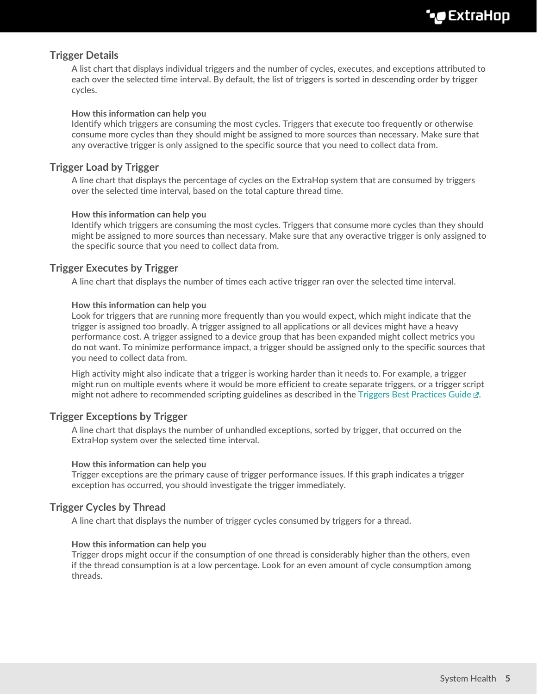# <span id="page-4-0"></span>**Trigger Details**

A list chart that displays individual triggers and the number of cycles, executes, and exceptions attributed to each over the selected time interval. By default, the list of triggers is sorted in descending order by trigger cycles.

#### **How this information can help you**

Identify which triggers are consuming the most cycles. Triggers that execute too frequently or otherwise consume more cycles than they should might be assigned to more sources than necessary. Make sure that any overactive trigger is only assigned to the specific source that you need to collect data from.

# <span id="page-4-1"></span>**Trigger Load by Trigger**

A line chart that displays the percentage of cycles on the ExtraHop system that are consumed by triggers over the selected time interval, based on the total capture thread time.

#### **How this information can help you**

Identify which triggers are consuming the most cycles. Triggers that consume more cycles than they should might be assigned to more sources than necessary. Make sure that any overactive trigger is only assigned to the specific source that you need to collect data from.

# <span id="page-4-2"></span>**Trigger Executes by Trigger**

A line chart that displays the number of times each active trigger ran over the selected time interval.

#### **How this information can help you**

Look for triggers that are running more frequently than you would expect, which might indicate that the trigger is assigned too broadly. A trigger assigned to all applications or all devices might have a heavy performance cost. A trigger assigned to a device group that has been expanded might collect metrics you do not want. To minimize performance impact, a trigger should be assigned only to the specific sources that you need to collect data from.

High activity might also indicate that a trigger is working harder than it needs to. For example, a trigger might run on multiple events where it would be more efficient to create separate triggers, or a trigger script might not adhere to recommended scripting guidelines as described in the [Triggers Best Practices Guide](https://docs.extrahop.com/7.6/triggers-best-practices/)  $\mathbb{Z}$ .

### <span id="page-4-3"></span>**Trigger Exceptions by Trigger**

A line chart that displays the number of unhandled exceptions, sorted by trigger, that occurred on the ExtraHop system over the selected time interval.

#### **How this information can help you**

Trigger exceptions are the primary cause of trigger performance issues. If this graph indicates a trigger exception has occurred, you should investigate the trigger immediately.

# <span id="page-4-4"></span>**Trigger Cycles by Thread**

A line chart that displays the number of trigger cycles consumed by triggers for a thread.

#### **How this information can help you**

Trigger drops might occur if the consumption of one thread is considerably higher than the others, even if the thread consumption is at a low percentage. Look for an even amount of cycle consumption among threads.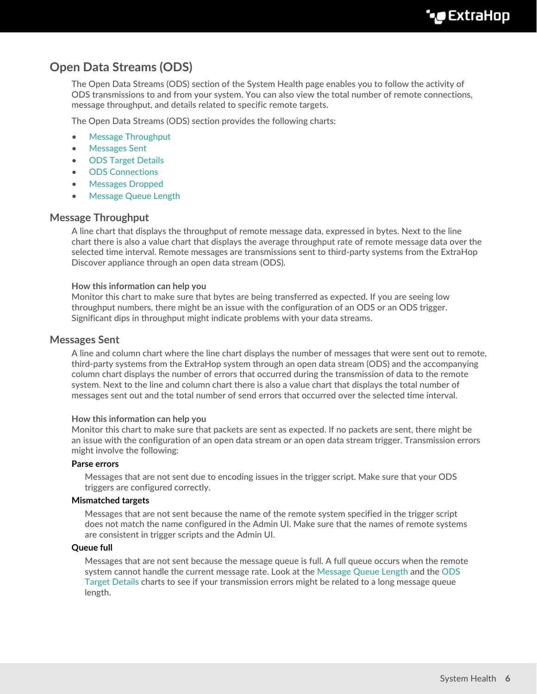# <span id="page-5-0"></span>**Open Data Streams (ODS)**

The Open Data Streams (ODS) section of the System Health page enables you to follow the activity of ODS transmissions to and from your system. You can also view the total number of remote connections, message throughput, and details related to specific remote targets.

The Open Data Streams (ODS) section provides the following charts:

- [Message Throughput](#page-5-1)
- [Messages Sent](#page-5-2)
- [ODS Target Details](#page-6-1)
- [ODS Connections](#page-6-2)
- [Messages Dropped](#page-6-3)
- [Message Queue Length](#page-6-4)

#### <span id="page-5-1"></span>**Message Throughput**

A line chart that displays the throughput of remote message data, expressed in bytes. Next to the line chart there is also a value chart that displays the average throughput rate of remote message data over the selected time interval. Remote messages are transmissions sent to third-party systems from the ExtraHop Discover appliance through an open data stream (ODS).

#### **How this information can help you**

Monitor this chart to make sure that bytes are being transferred as expected. If you are seeing low throughput numbers, there might be an issue with the configuration of an ODS or an ODS trigger. Significant dips in throughput might indicate problems with your data streams.

#### <span id="page-5-2"></span>**Messages Sent**

A line and column chart where the line chart displays the number of messages that were sent out to remote, third-party systems from the ExtraHop system through an open data stream (ODS) and the accompanying column chart displays the number of errors that occurred during the transmission of data to the remote system. Next to the line and column chart there is also a value chart that displays the total number of messages sent out and the total number of send errors that occurred over the selected time interval.

#### **How this information can help you**

Monitor this chart to make sure that packets are sent as expected. If no packets are sent, there might be an issue with the configuration of an open data stream or an open data stream trigger. Transmission errors might involve the following:

#### **Parse errors**

Messages that are not sent due to encoding issues in the trigger script. Make sure that your ODS triggers are configured correctly.

#### **Mismatched targets**

Messages that are not sent because the name of the remote system specified in the trigger script does not match the name configured in the Admin UI. Make sure that the names of remote systems are consistent in trigger scripts and the Admin UI.

#### **Queue full**

Messages that are not sent because the message queue is full. A full queue occurs when the remote system cannot handle the current message rate. Look at the [Message Queue Length](#page-6-4) and the [ODS](#page-6-1) [Target Details](#page-6-1) charts to see if your transmission errors might be related to a long message queue length.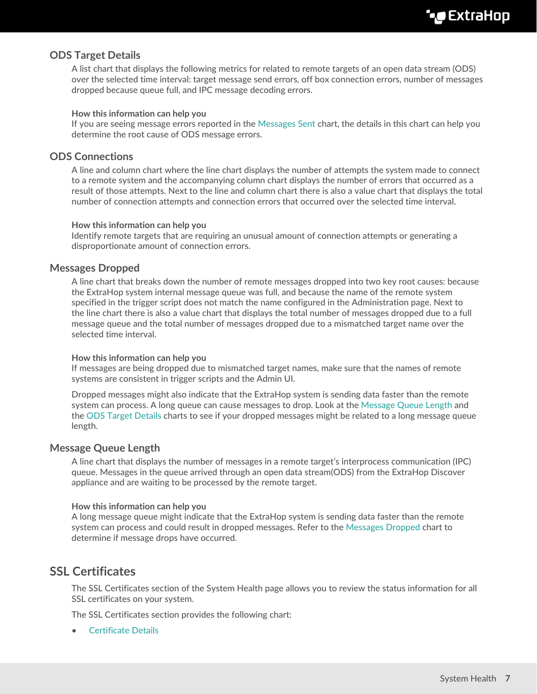# <span id="page-6-1"></span>**ODS Target Details**

A list chart that displays the following metrics for related to remote targets of an open data stream (ODS) over the selected time interval: target message send errors, off box connection errors, number of messages dropped because queue full, and IPC message decoding errors.

#### **How this information can help you**

If you are seeing message errors reported in the [Messages Sent](#page-5-2) chart, the details in this chart can help you determine the root cause of ODS message errors.

## <span id="page-6-2"></span>**ODS Connections**

A line and column chart where the line chart displays the number of attempts the system made to connect to a remote system and the accompanying column chart displays the number of errors that occurred as a result of those attempts. Next to the line and column chart there is also a value chart that displays the total number of connection attempts and connection errors that occurred over the selected time interval.

#### **How this information can help you**

Identify remote targets that are requiring an unusual amount of connection attempts or generating a disproportionate amount of connection errors.

## <span id="page-6-3"></span>**Messages Dropped**

A line chart that breaks down the number of remote messages dropped into two key root causes: because the ExtraHop system internal message queue was full, and because the name of the remote system specified in the trigger script does not match the name configured in the Administration page. Next to the line chart there is also a value chart that displays the total number of messages dropped due to a full message queue and the total number of messages dropped due to a mismatched target name over the selected time interval.

#### **How this information can help you**

If messages are being dropped due to mismatched target names, make sure that the names of remote systems are consistent in trigger scripts and the Admin UI.

Dropped messages might also indicate that the ExtraHop system is sending data faster than the remote system can process. A long queue can cause messages to drop. Look at the [Message Queue Length](#page-6-4) and the [ODS Target Details](#page-6-1) charts to see if your dropped messages might be related to a long message queue length.

### <span id="page-6-4"></span>**Message Queue Length**

A line chart that displays the number of messages in a remote target's interprocess communication (IPC) queue. Messages in the queue arrived through an open data stream(ODS) from the ExtraHop Discover appliance and are waiting to be processed by the remote target.

#### **How this information can help you**

A long message queue might indicate that the ExtraHop system is sending data faster than the remote system can process and could result in dropped messages. Refer to the [Messages Dropped](#page-6-3) chart to determine if message drops have occurred.

# <span id="page-6-0"></span>**SSL Certificates**

The SSL Certificates section of the System Health page allows you to review the status information for all SSL certificates on your system.

The SSL Certificates section provides the following chart:

• [Certificate Details](#page-7-1)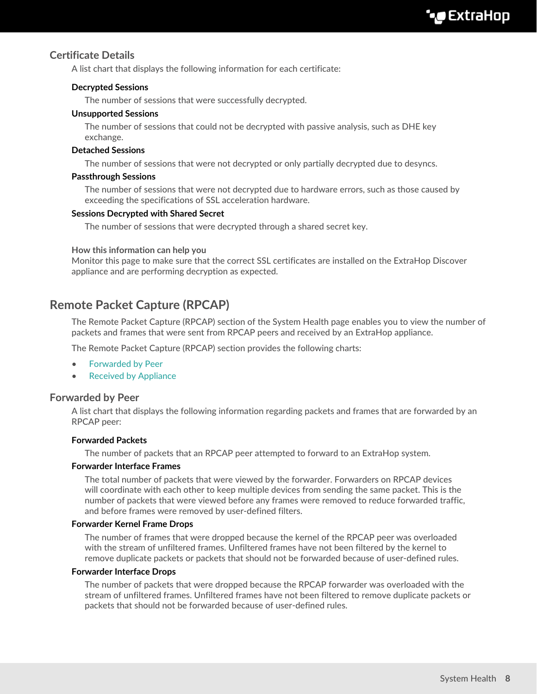# <span id="page-7-1"></span>**Certificate Details**

A list chart that displays the following information for each certificate:

### **Decrypted Sessions**

The number of sessions that were successfully decrypted.

#### **Unsupported Sessions**

The number of sessions that could not be decrypted with passive analysis, such as DHE key exchange.

#### **Detached Sessions**

The number of sessions that were not decrypted or only partially decrypted due to desyncs.

#### **Passthrough Sessions**

The number of sessions that were not decrypted due to hardware errors, such as those caused by exceeding the specifications of SSL acceleration hardware.

#### **Sessions Decrypted with Shared Secret**

The number of sessions that were decrypted through a shared secret key.

#### **How this information can help you**

Monitor this page to make sure that the correct SSL certificates are installed on the ExtraHop Discover appliance and are performing decryption as expected.

# <span id="page-7-0"></span>**Remote Packet Capture (RPCAP)**

The Remote Packet Capture (RPCAP) section of the System Health page enables you to view the number of packets and frames that were sent from RPCAP peers and received by an ExtraHop appliance.

The Remote Packet Capture (RPCAP) section provides the following charts:

- [Forwarded by Peer](#page-7-2)
- [Received by Appliance](#page-8-1)

### <span id="page-7-2"></span>**Forwarded by Peer**

A list chart that displays the following information regarding packets and frames that are forwarded by an RPCAP peer:

### **Forwarded Packets**

The number of packets that an RPCAP peer attempted to forward to an ExtraHop system.

#### **Forwarder Interface Frames**

The total number of packets that were viewed by the forwarder. Forwarders on RPCAP devices will coordinate with each other to keep multiple devices from sending the same packet. This is the number of packets that were viewed before any frames were removed to reduce forwarded traffic, and before frames were removed by user-defined filters.

#### **Forwarder Kernel Frame Drops**

The number of frames that were dropped because the kernel of the RPCAP peer was overloaded with the stream of unfiltered frames. Unfiltered frames have not been filtered by the kernel to remove duplicate packets or packets that should not be forwarded because of user-defined rules.

#### **Forwarder Interface Drops**

The number of packets that were dropped because the RPCAP forwarder was overloaded with the stream of unfiltered frames. Unfiltered frames have not been filtered to remove duplicate packets or packets that should not be forwarded because of user-defined rules.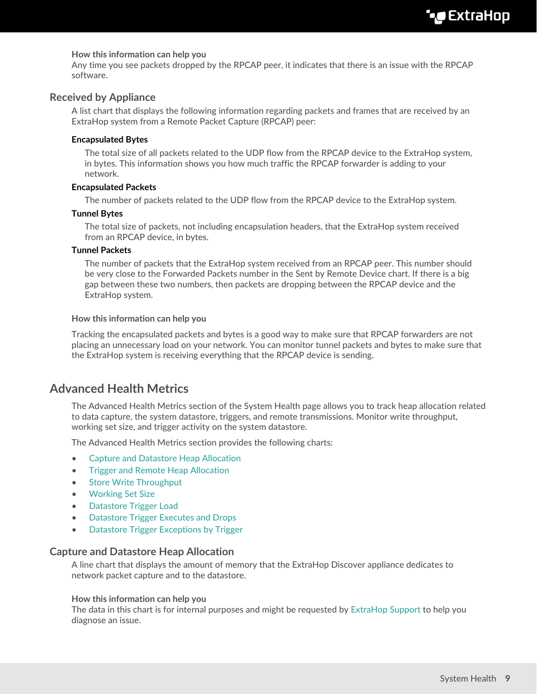#### **How this information can help you**

Any time you see packets dropped by the RPCAP peer, it indicates that there is an issue with the RPCAP software.

## <span id="page-8-1"></span>**Received by Appliance**

A list chart that displays the following information regarding packets and frames that are received by an ExtraHop system from a Remote Packet Capture (RPCAP) peer:

#### **Encapsulated Bytes**

The total size of all packets related to the UDP flow from the RPCAP device to the ExtraHop system, in bytes. This information shows you how much traffic the RPCAP forwarder is adding to your network.

#### **Encapsulated Packets**

The number of packets related to the UDP flow from the RPCAP device to the ExtraHop system.

#### **Tunnel Bytes**

The total size of packets, not including encapsulation headers, that the ExtraHop system received from an RPCAP device, in bytes.

## **Tunnel Packets**

The number of packets that the ExtraHop system received from an RPCAP peer. This number should be very close to the Forwarded Packets number in the Sent by Remote Device chart. If there is a big gap between these two numbers, then packets are dropping between the RPCAP device and the ExtraHop system.

#### **How this information can help you**

Tracking the encapsulated packets and bytes is a good way to make sure that RPCAP forwarders are not placing an unnecessary load on your network. You can monitor tunnel packets and bytes to make sure that the ExtraHop system is receiving everything that the RPCAP device is sending.

# <span id="page-8-0"></span>**Advanced Health Metrics**

The Advanced Health Metrics section of the System Health page allows you to track heap allocation related to data capture, the system datastore, triggers, and remote transmissions. Monitor write throughput, working set size, and trigger activity on the system datastore.

The Advanced Health Metrics section provides the following charts:

- [Capture and Datastore Heap Allocation](#page-8-2)
- [Trigger and Remote Heap Allocation](#page-9-0)
- [Store Write Throughput](#page-9-1)
- [Working Set Size](#page-9-2)
- [Datastore Trigger Load](#page-9-3)
- [Datastore Trigger Executes and Drops](#page-10-0)
- [Datastore Trigger Exceptions by Trigger](#page-10-1)

## <span id="page-8-2"></span>**Capture and Datastore Heap Allocation**

A line chart that displays the amount of memory that the ExtraHop Discover appliance dedicates to network packet capture and to the datastore.

#### **How this information can help you**

The data in this chart is for internal purposes and might be requested by [ExtraHop Support](mailto:support@extrahop.com) to help you diagnose an issue.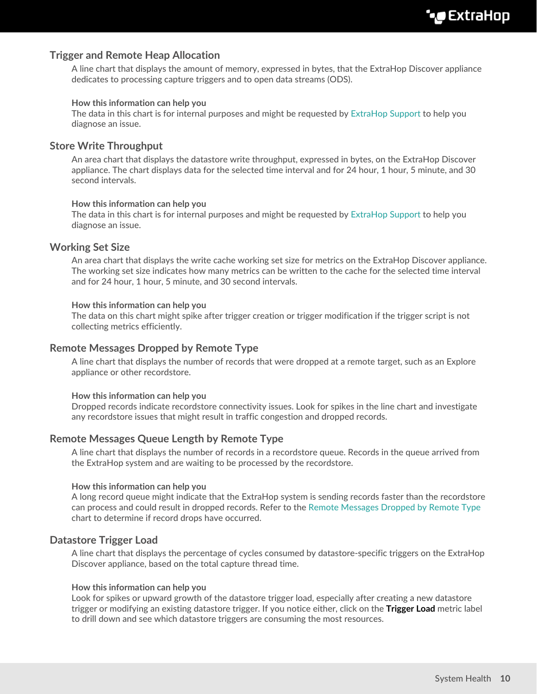# <span id="page-9-0"></span>**Trigger and Remote Heap Allocation**

A line chart that displays the amount of memory, expressed in bytes, that the ExtraHop Discover appliance dedicates to processing capture triggers and to open data streams (ODS).

#### **How this information can help you**

The data in this chart is for internal purposes and might be requested by [ExtraHop Support](mailto:support@extrahop.com) to help you diagnose an issue.

## <span id="page-9-1"></span>**Store Write Throughput**

An area chart that displays the datastore write throughput, expressed in bytes, on the ExtraHop Discover appliance. The chart displays data for the selected time interval and for 24 hour, 1 hour, 5 minute, and 30 second intervals.

#### **How this information can help you**

The data in this chart is for internal purposes and might be requested by [ExtraHop Support](mailto:support@extrahop.com) to help you diagnose an issue.

### <span id="page-9-2"></span>**Working Set Size**

An area chart that displays the write cache working set size for metrics on the ExtraHop Discover appliance. The working set size indicates how many metrics can be written to the cache for the selected time interval and for 24 hour, 1 hour, 5 minute, and 30 second intervals.

#### **How this information can help you**

The data on this chart might spike after trigger creation or trigger modification if the trigger script is not collecting metrics efficiently.

### <span id="page-9-4"></span>**Remote Messages Dropped by Remote Type**

A line chart that displays the number of records that were dropped at a remote target, such as an Explore appliance or other recordstore.

#### **How this information can help you**

Dropped records indicate recordstore connectivity issues. Look for spikes in the line chart and investigate any recordstore issues that might result in traffic congestion and dropped records.

### **Remote Messages Queue Length by Remote Type**

A line chart that displays the number of records in a recordstore queue. Records in the queue arrived from the ExtraHop system and are waiting to be processed by the recordstore.

#### **How this information can help you**

A long record queue might indicate that the ExtraHop system is sending records faster than the recordstore can process and could result in dropped records. Refer to the [Remote Messages Dropped by Remote Type](#page-9-4) chart to determine if record drops have occurred.

## <span id="page-9-3"></span>**Datastore Trigger Load**

A line chart that displays the percentage of cycles consumed by datastore-specific triggers on the ExtraHop Discover appliance, based on the total capture thread time.

#### **How this information can help you**

Look for spikes or upward growth of the datastore trigger load, especially after creating a new datastore trigger or modifying an existing datastore trigger. If you notice either, click on the **Trigger Load** metric label to drill down and see which datastore triggers are consuming the most resources.